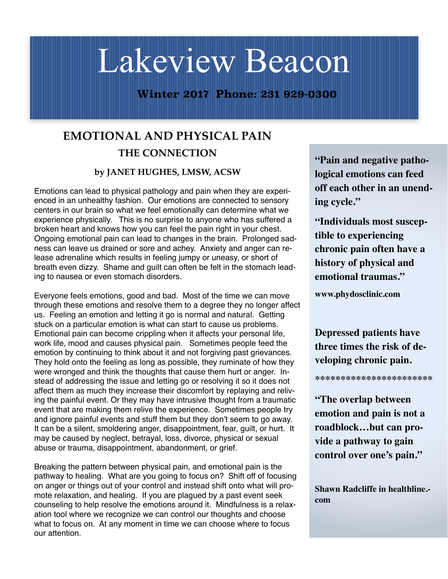# Lakeview Beacon

**Winter 2017 Phone: 231 929-0300**

# **EMOTIONAL AND PHYSICAL PAIN THE CONNECTION**

#### **by JANET HUGHES, LMSW, ACSW**

Emotions can lead to physical pathology and pain when they are experienced in an unhealthy fashion. Our emotions are connected to sensory centers in our brain so what we feel emotionally can determine what we experience physically. This is no surprise to anyone who has suffered a broken heart and knows how you can feel the pain right in your chest. Ongoing emotional pain can lead to changes in the brain. Prolonged sadness can leave us drained or sore and achey. Anxiety and anger can release adrenaline which results in feeling jumpy or uneasy, or short of breath even dizzy. Shame and guilt can often be felt in the stomach leading to nausea or even stomach disorders.

Everyone feels emotions, good and bad. Most of the time we can move through these emotions and resolve them to a degree they no longer affect us. Feeling an emotion and letting it go is normal and natural. Getting stuck on a particular emotion is what can start to cause us problems. Emotional pain can become crippling when it affects your personal life, work life, mood and causes physical pain. Sometimes people feed the emotion by continuing to think about it and not forgiving past grievances. They hold onto the feeling as long as possible, they ruminate of how they were wronged and think the thoughts that cause them hurt or anger. Instead of addressing the issue and letting go or resolving it so it does not affect them as much they increase their discomfort by replaying and reliving the painful event. Or they may have intrusive thought from a traumatic event that are making them relive the experience. Sometimes people try and ignore painful events and stuff them but they don't seem to go away. It can be a silent, smoldering anger, disappointment, fear, guilt, or hurt. It may be caused by neglect, betrayal, loss, divorce, physical or sexual abuse or trauma, disappointment, abandonment, or grief.

Breaking the pattern between physical pain, and emotional pain is the pathway to healing. What are you going to focus on? Shift off of focusing on anger or things out of your control and instead shift onto what will promote relaxation, and healing. If you are plagued by a past event seek counseling to help resolve the emotions around it. Mindfulness is a relaxation tool where we recognize we can control our thoughts and choose what to focus on. At any moment in time we can choose where to focus our attention.

**"Pain and negative pathological emotions can feed off each other in an unending cycle."**

**"Individuals most susceptible to experiencing chronic pain often have a history of physical and emotional traumas."** 

**www.phydosclinic.com**

**Depressed patients have three times the risk of developing chronic pain.**

**\*\*\*\*\*\*\*\*\*\*\*\*\*\*\*\*\*\*\*\*\*\*\***

**"The overlap between emotion and pain is not a roadblock…but can provide a pathway to gain control over one's pain."**

**Shawn Radcliffe in healthline. com**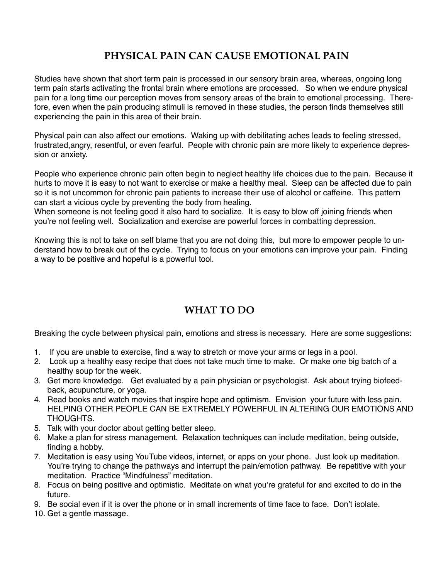## **PHYSICAL PAIN CAN CAUSE EMOTIONAL PAIN**

Studies have shown that short term pain is processed in our sensory brain area, whereas, ongoing long term pain starts activating the frontal brain where emotions are processed. So when we endure physical pain for a long time our perception moves from sensory areas of the brain to emotional processing. Therefore, even when the pain producing stimuli is removed in these studies, the person finds themselves still experiencing the pain in this area of their brain.

Physical pain can also affect our emotions. Waking up with debilitating aches leads to feeling stressed, frustrated,angry, resentful, or even fearful. People with chronic pain are more likely to experience depression or anxiety.

People who experience chronic pain often begin to neglect healthy life choices due to the pain. Because it hurts to move it is easy to not want to exercise or make a healthy meal. Sleep can be affected due to pain so it is not uncommon for chronic pain patients to increase their use of alcohol or caffeine. This pattern can start a vicious cycle by preventing the body from healing.

When someone is not feeling good it also hard to socialize. It is easy to blow off joining friends when you're not feeling well. Socialization and exercise are powerful forces in combatting depression.

Knowing this is not to take on self blame that you are not doing this, but more to empower people to understand how to break out of the cycle. Trying to focus on your emotions can improve your pain. Finding a way to be positive and hopeful is a powerful tool.

### **WHAT TO DO**

Breaking the cycle between physical pain, emotions and stress is necessary. Here are some suggestions:

- 1. If you are unable to exercise, find a way to stretch or move your arms or legs in a pool.
- 2. Look up a healthy easy recipe that does not take much time to make. Or make one big batch of a healthy soup for the week.
- 3. Get more knowledge. Get evaluated by a pain physician or psychologist. Ask about trying biofeedback, acupuncture, or yoga.
- 4. Read books and watch movies that inspire hope and optimism. Envision your future with less pain. HELPING OTHER PEOPLE CAN BE EXTREMELY POWERFUL IN ALTERING OUR EMOTIONS AND THOUGHTS.
- 5. Talk with your doctor about getting better sleep.
- 6. Make a plan for stress management. Relaxation techniques can include meditation, being outside, finding a hobby.
- 7. Meditation is easy using YouTube videos, internet, or apps on your phone. Just look up meditation. You're trying to change the pathways and interrupt the pain/emotion pathway. Be repetitive with your meditation. Practice "Mindfulness" meditation.
- 8. Focus on being positive and optimistic. Meditate on what you're grateful for and excited to do in the future.
- 9. Be social even if it is over the phone or in small increments of time face to face. Don't isolate.
- 10. Get a gentle massage.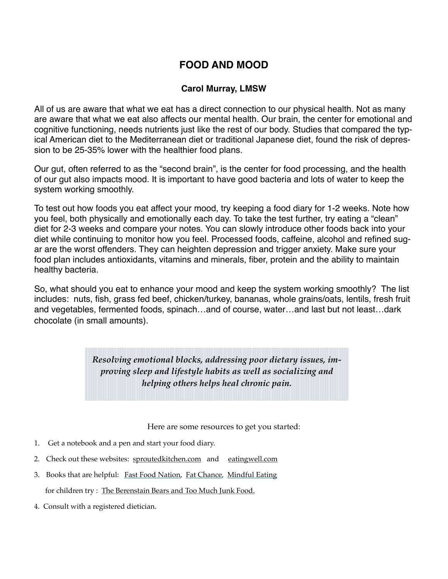### **FOOD AND MOOD**

#### **Carol Murray, LMSW**

All of us are aware that what we eat has a direct connection to our physical health. Not as many are aware that what we eat also affects our mental health. Our brain, the center for emotional and cognitive functioning, needs nutrients just like the rest of our body. Studies that compared the typical American diet to the Mediterranean diet or traditional Japanese diet, found the risk of depression to be 25-35% lower with the healthier food plans.

Our gut, often referred to as the "second brain", is the center for food processing, and the health of our gut also impacts mood. It is important to have good bacteria and lots of water to keep the system working smoothly.

To test out how foods you eat affect your mood, try keeping a food diary for 1-2 weeks. Note how you feel, both physically and emotionally each day. To take the test further, try eating a "clean" diet for 2-3 weeks and compare your notes. You can slowly introduce other foods back into your diet while continuing to monitor how you feel. Processed foods, caffeine, alcohol and refined sugar are the worst offenders. They can heighten depression and trigger anxiety. Make sure your food plan includes antioxidants, vitamins and minerals, fiber, protein and the ability to maintain healthy bacteria.

So, what should you eat to enhance your mood and keep the system working smoothly? The list includes: nuts, fish, grass fed beef, chicken/turkey, bananas, whole grains/oats, lentils, fresh fruit and vegetables, fermented foods, spinach…and of course, water…and last but not least…dark chocolate (in small amounts).

> *Resolving emotional blocks, addressing poor dietary issues, improving sleep and lifestyle habits as well as socializing and helping others helps heal chronic pain.*

> > Here are some resources to get you started:

- 1. Get a notebook and a pen and start your food diary.
- 2. Check out these websites: [sproutedkitchen.com](http://sproutedkitchen.com) and [eatingwell.com](http://eatingwell.com)
- 3. Books that are helpful: Fast Food Nation, Fat Chance, Mindful Eating for children try : The Berenstain Bears and Too Much Junk Food.
- 4. Consult with a registered dietician.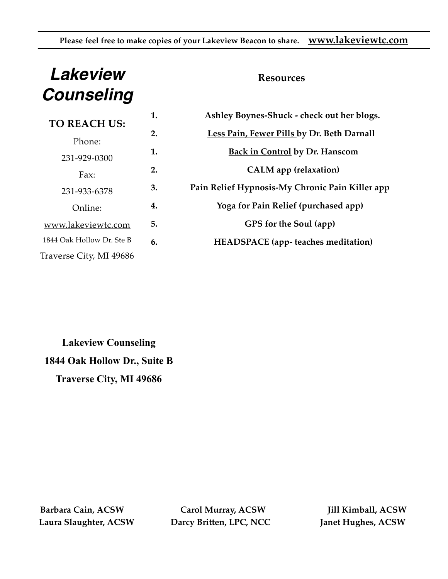# *Lakeview Counseling*

#### **Resources**

| <b>TO REACH US:</b>       | 1. | Ashley Boynes-Shuck - check out her blogs.      |
|---------------------------|----|-------------------------------------------------|
| Phone:                    | 2. | Less Pain, Fewer Pills by Dr. Beth Darnall      |
| 231-929-0300              | 1. | <b>Back in Control by Dr. Hanscom</b>           |
| Fax:                      | 2. | <b>CALM</b> app (relaxation)                    |
| 231-933-6378              | 3. | Pain Relief Hypnosis-My Chronic Pain Killer app |
| Online:                   | 4. | Yoga for Pain Relief (purchased app)            |
| www.lakeviewtc.com        | 5. | GPS for the Soul (app)                          |
| 1844 Oak Hollow Dr. Ste B | 6. | <b>HEADSPACE</b> (app- teaches meditation)      |
| Traverse City, MI 49686   |    |                                                 |

**Lakeview Counseling 1844 Oak Hollow Dr., Suite B Traverse City, MI 49686**

 **Barbara Cain, ACSW Carol Murray, ACSW Jill Kimball, ACSW Laura Slaughter, ACSW Darcy Britten, LPC, NCC Janet Hughes, ACSW**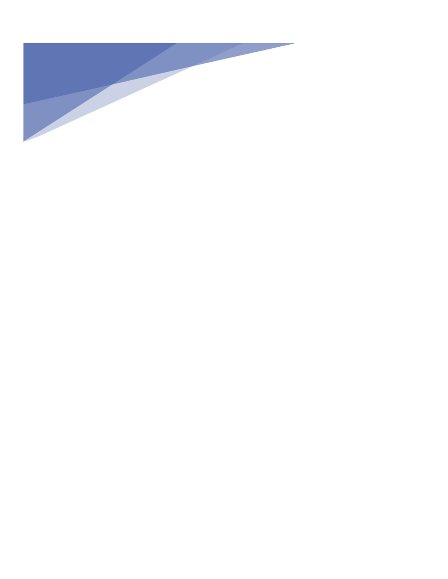